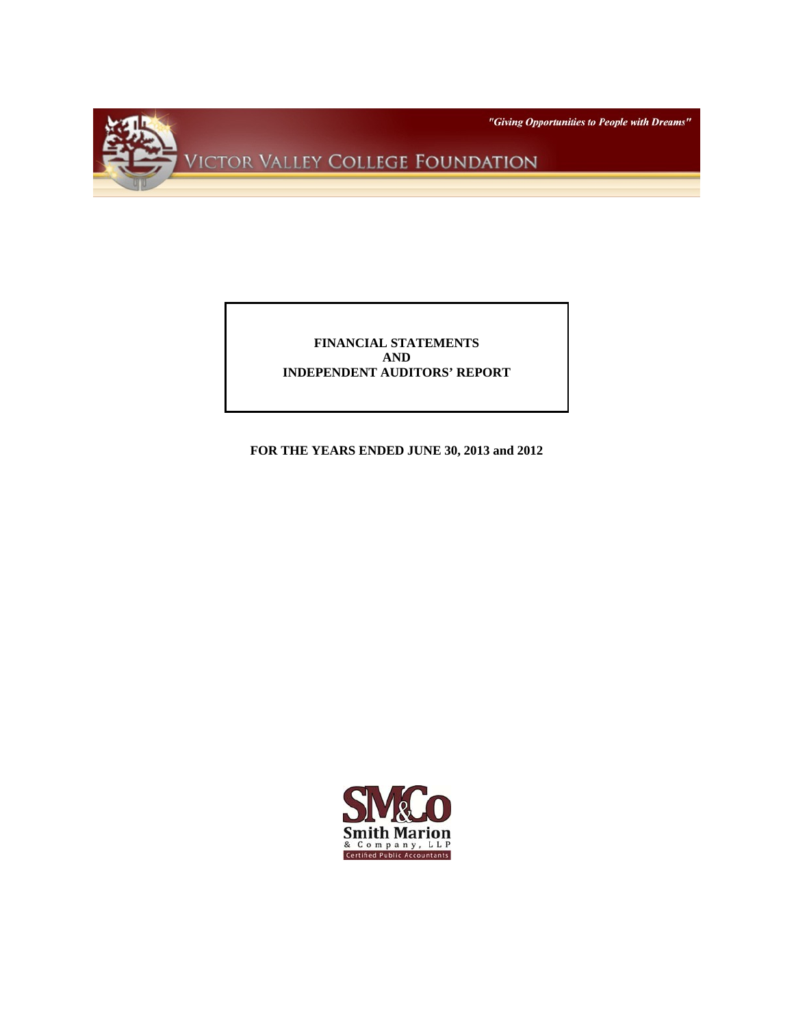

# **FINANCIAL STATEMENTS AND INDEPENDENT AUDITORS' REPORT**

**FOR THE YEARS ENDED JUNE 30, 2013 and 2012** 

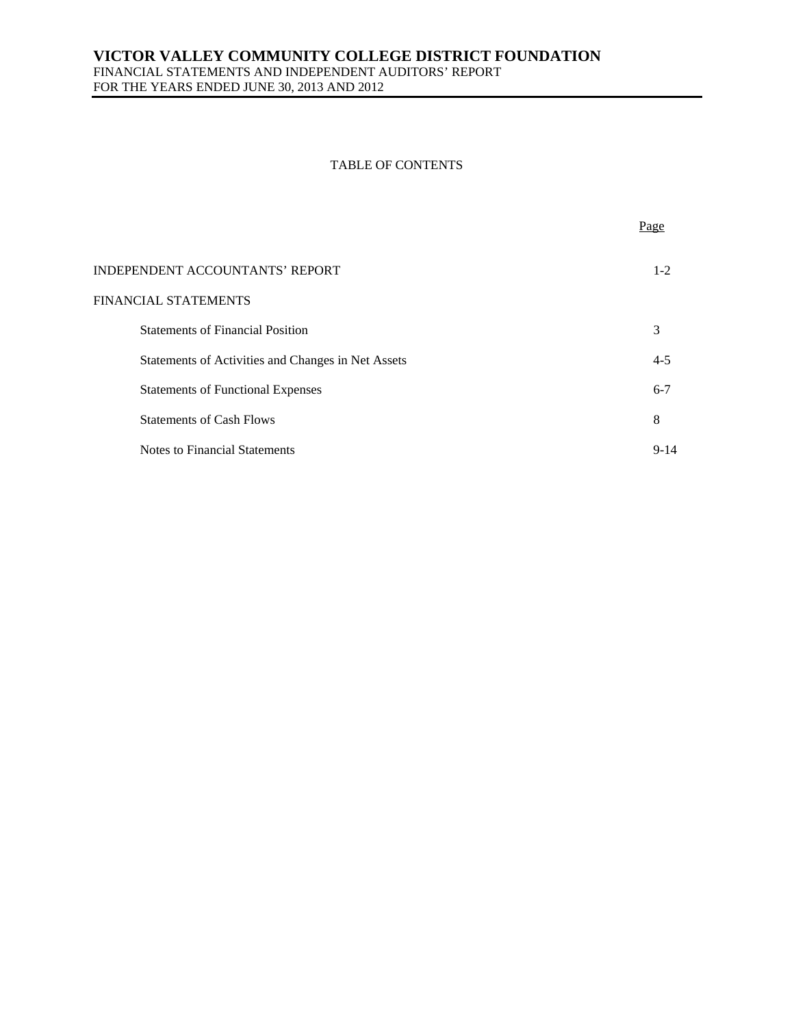FINANCIAL STATEMENTS AND INDEPENDENT AUDITORS' REPORT FOR THE YEARS ENDED JUNE 30, 2013 AND 2012

## TABLE OF CONTENTS

|                                                    | Page    |
|----------------------------------------------------|---------|
| INDEPENDENT ACCOUNTANTS' REPORT                    | $1 - 2$ |
| FINANCIAL STATEMENTS                               |         |
| <b>Statements of Financial Position</b>            | 3       |
| Statements of Activities and Changes in Net Assets | $4 - 5$ |
| <b>Statements of Functional Expenses</b>           | $6 - 7$ |
| <b>Statements of Cash Flows</b>                    | 8       |
| Notes to Financial Statements                      | $9-14$  |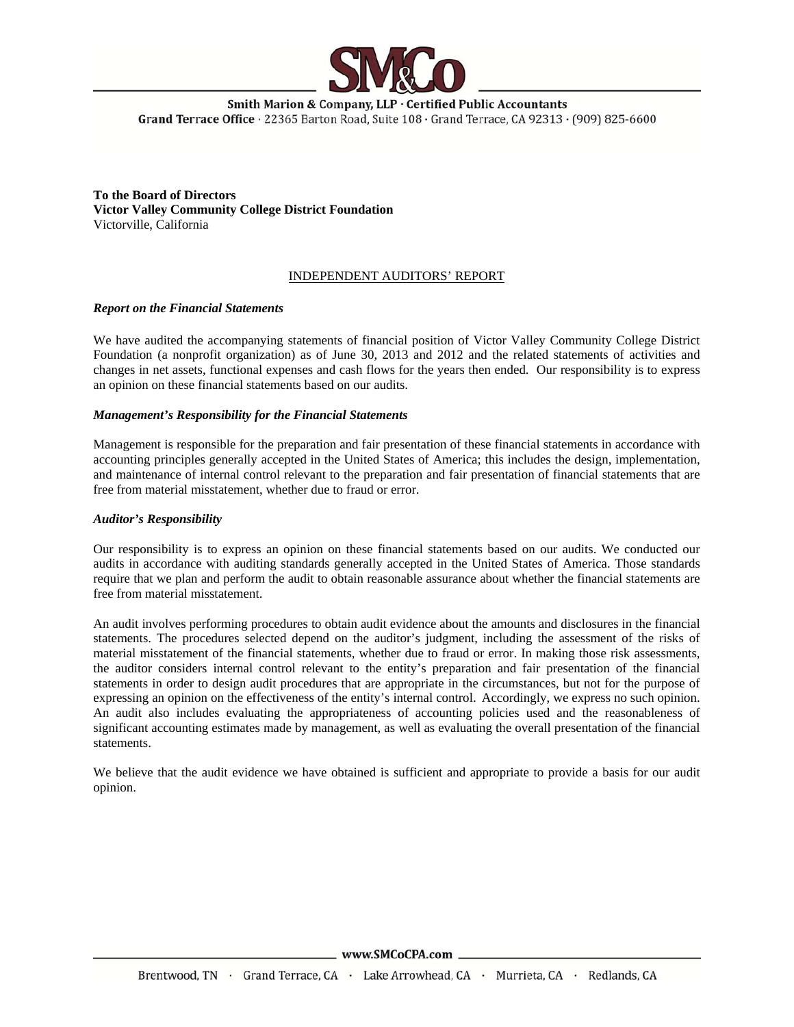

Smith Marion & Company, LLP · Certified Public Accountants Grand Terrace Office · 22365 Barton Road, Suite 108 · Grand Terrace, CA 92313 · (909) 825-6600

**To the Board of Directors Victor Valley Community College District Foundation** Victorville, California

### INDEPENDENT AUDITORS' REPORT

#### *Report on the Financial Statements*

We have audited the accompanying statements of financial position of Victor Valley Community College District Foundation (a nonprofit organization) as of June 30, 2013 and 2012 and the related statements of activities and changes in net assets, functional expenses and cash flows for the years then ended. Our responsibility is to express an opinion on these financial statements based on our audits.

### *Management's Responsibility for the Financial Statements*

Management is responsible for the preparation and fair presentation of these financial statements in accordance with accounting principles generally accepted in the United States of America; this includes the design, implementation, and maintenance of internal control relevant to the preparation and fair presentation of financial statements that are free from material misstatement, whether due to fraud or error.

#### *Auditor's Responsibility*

Our responsibility is to express an opinion on these financial statements based on our audits. We conducted our audits in accordance with auditing standards generally accepted in the United States of America. Those standards require that we plan and perform the audit to obtain reasonable assurance about whether the financial statements are free from material misstatement.

An audit involves performing procedures to obtain audit evidence about the amounts and disclosures in the financial statements. The procedures selected depend on the auditor's judgment, including the assessment of the risks of material misstatement of the financial statements, whether due to fraud or error. In making those risk assessments, the auditor considers internal control relevant to the entity's preparation and fair presentation of the financial statements in order to design audit procedures that are appropriate in the circumstances, but not for the purpose of expressing an opinion on the effectiveness of the entity's internal control. Accordingly, we express no such opinion. An audit also includes evaluating the appropriateness of accounting policies used and the reasonableness of significant accounting estimates made by management, as well as evaluating the overall presentation of the financial statements.

We believe that the audit evidence we have obtained is sufficient and appropriate to provide a basis for our audit opinion.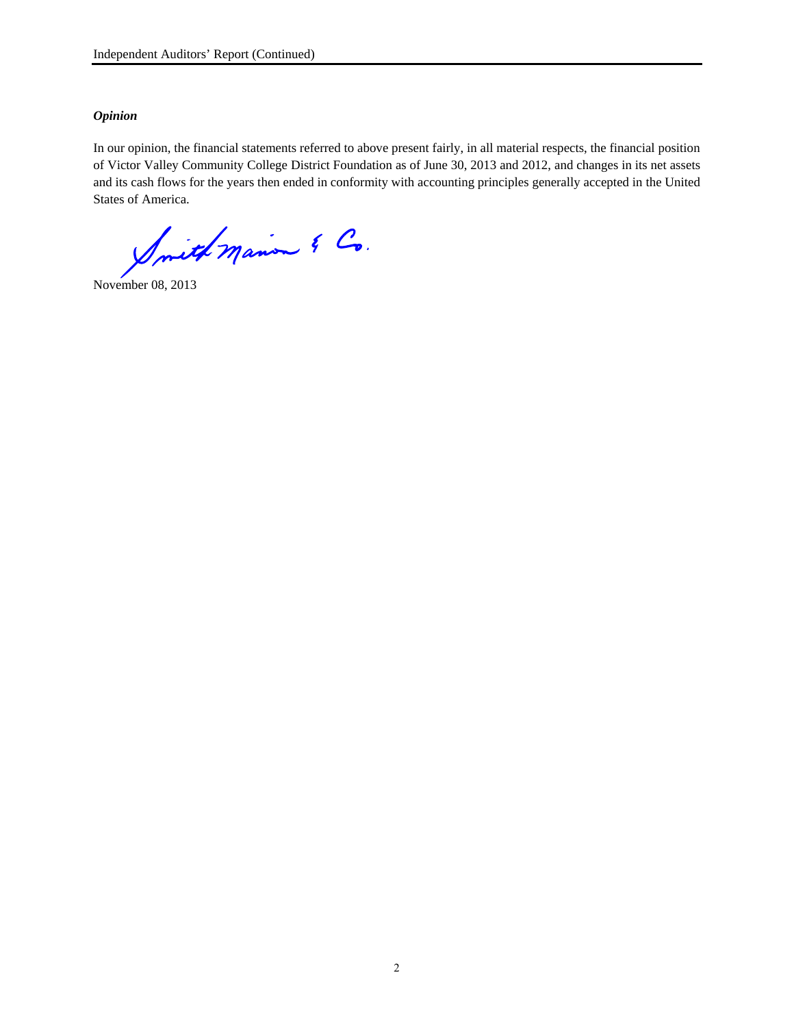# *Opinion*

In our opinion, the financial statements referred to above present fairly, in all material respects, the financial position of Victor Valley Community College District Foundation as of June 30, 2013 and 2012, and changes in its net assets and its cash flows for the years then ended in conformity with accounting principles generally accepted in the United States of America.

Inith Marion & Co.

November 08, 2013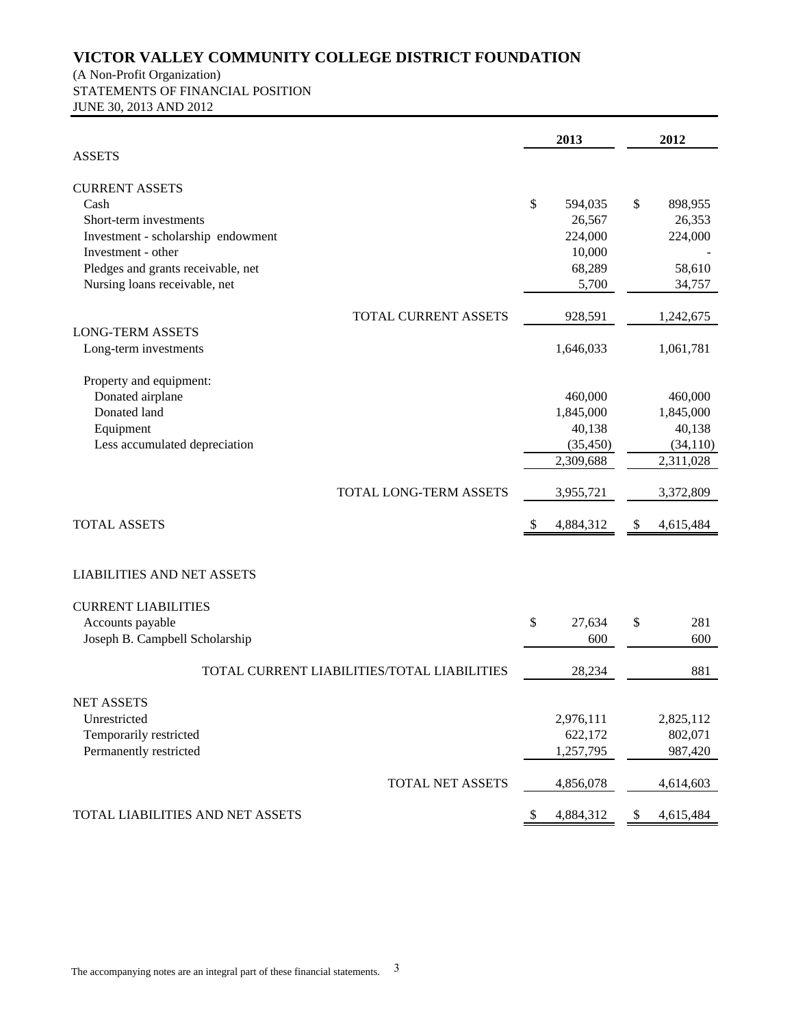(A Non-Profit Organization) STATEMENTS OF FINANCIAL POSITION JUNE 30, 2013 AND 2012

|                                             |     | 2013      |     | 2012      |
|---------------------------------------------|-----|-----------|-----|-----------|
| <b>ASSETS</b>                               |     |           |     |           |
| <b>CURRENT ASSETS</b>                       |     |           |     |           |
| Cash                                        | \$  | 594,035   | \$  | 898,955   |
| Short-term investments                      |     | 26,567    |     | 26,353    |
| Investment - scholarship endowment          |     | 224,000   |     | 224,000   |
| Investment - other                          |     | 10,000    |     |           |
| Pledges and grants receivable, net          |     | 68,289    |     | 58,610    |
| Nursing loans receivable, net               |     | 5,700     |     | 34,757    |
| TOTAL CURRENT ASSETS                        |     | 928,591   |     | 1,242,675 |
| <b>LONG-TERM ASSETS</b>                     |     |           |     |           |
| Long-term investments                       |     | 1,646,033 |     | 1,061,781 |
| Property and equipment:                     |     |           |     |           |
| Donated airplane                            |     | 460,000   |     | 460,000   |
| Donated land                                |     | 1,845,000 |     | 1,845,000 |
| Equipment                                   |     | 40,138    |     | 40,138    |
| Less accumulated depreciation               |     | (35, 450) |     | (34, 110) |
|                                             |     | 2,309,688 |     | 2,311,028 |
| TOTAL LONG-TERM ASSETS                      |     | 3,955,721 |     | 3,372,809 |
| <b>TOTAL ASSETS</b>                         | -SS | 4,884,312 | -SS | 4,615,484 |
|                                             |     |           |     |           |
| <b>LIABILITIES AND NET ASSETS</b>           |     |           |     |           |
| <b>CURRENT LIABILITIES</b>                  |     |           |     |           |
| Accounts payable                            | \$  | 27,634    | \$  | 281       |
| Joseph B. Campbell Scholarship              |     | 600       |     | 600       |
| TOTAL CURRENT LIABILITIES/TOTAL LIABILITIES |     | 28,234    |     | 881       |
|                                             |     |           |     |           |
| <b>NET ASSETS</b><br>Unrestricted           |     | 2,976,111 |     | 2,825,112 |
| Temporarily restricted                      |     | 622,172   |     | 802,071   |
| Permanently restricted                      |     | 1,257,795 |     | 987,420   |
| TOTAL NET ASSETS                            |     | 4,856,078 |     | 4,614,603 |
|                                             |     |           |     |           |
| TOTAL LIABILITIES AND NET ASSETS            | -S  | 4,884,312 | \$  | 4,615,484 |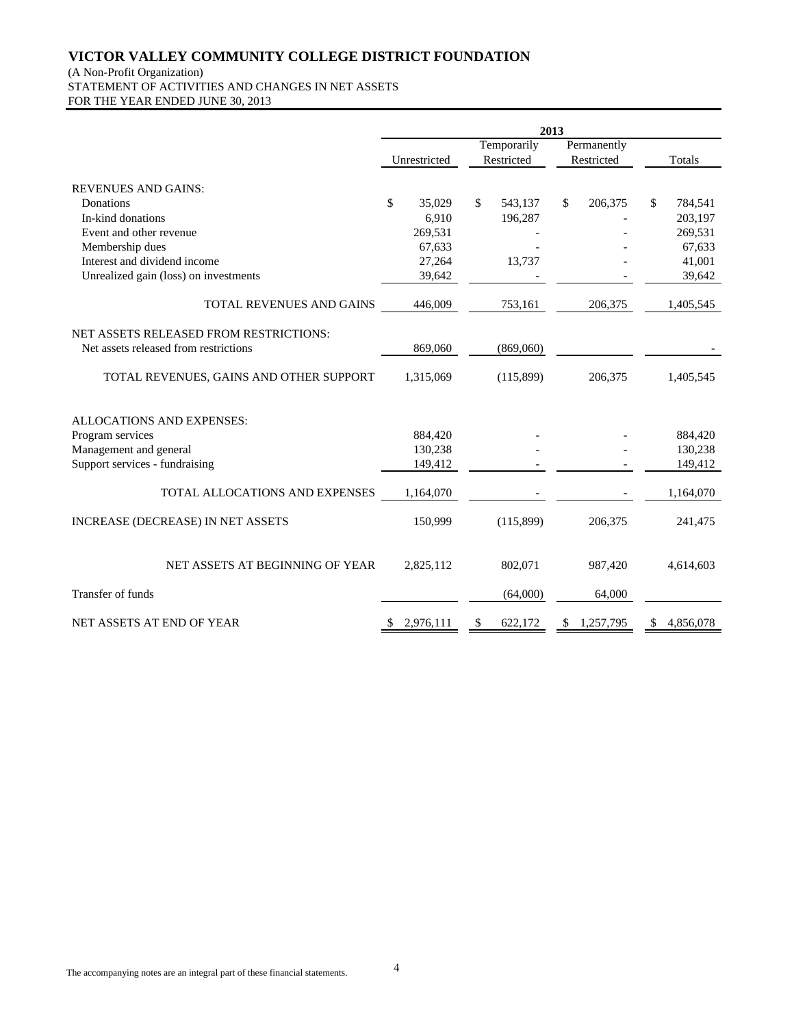#### (A Non-Profit Organization)

STATEMENT OF ACTIVITIES AND CHANGES IN NET ASSETS FOR THE YEAR ENDED JUNE 30, 2013

Unrestricted **Temporarily** Restricted Permanently Restricted Totals REVENUES AND GAINS: Donations 35,029 \$ 35,029 \$ 543,137 \$ 206,375 \$ 784,541 In-kind donations 6,910 196,287 - 203,197 Event and other revenue  $269,531$  - 269,531 Membership dues 67,633 - 67,633 - 67,633 - 67,633 - 67,633 - 67,633 - 67,633 - 67,633 - 67,633 - 67,633 - 67,633 - 67,633 - 67,633 - 67,633 - 67,633 - 67,633 - 67,633 - 67,633 - 67,633 - 67,633 - 67,633 - 67,633 - 67,633 -Interest and dividend income 27,264 13,737 - 41,001 Unrealized gain (loss) on investments 39,642 - 39,642 39,642 TOTAL REVENUES AND GAINS 446,009 753,161 206,375 1,405,545 NET ASSETS RELEASED FROM RESTRICTIONS: Net assets released from restrictions 869,060 (869,060) TOTAL REVENUES, GAINS AND OTHER SUPPORT 1,315,069 (115,899) 206,375 1,405,545 ALLOCATIONS AND EXPENSES: Program services 884,420 - 884,420 - 884,420 Management and general 130,238 130,238 - 130,238 130,238 - 130,238 130,238 130,238 130,238 130,238 130,238 130,238 130,238 130,238 130,238 130,238 130,238 130,238 130,238 130,238 130,238 130,238 130,238 130,238 130,238 130 Support services - fundraising 149,412 - 149,412 - 149,412 TOTAL ALLOCATIONS AND EXPENSES 1,164,070 - 1,164,070 INCREASE (DECREASE) IN NET ASSETS 150,999 (115,899) 206,375 241,475 NET ASSETS AT BEGINNING OF YEAR 2,825,112 802,071 987,420 4,614,603 Transfer of funds (64,000) 64,000 NET ASSETS AT END OF YEAR \$ 2,976,111 \$ 622,172 \$ 1,257,795 \$ 4,856,078 **2013**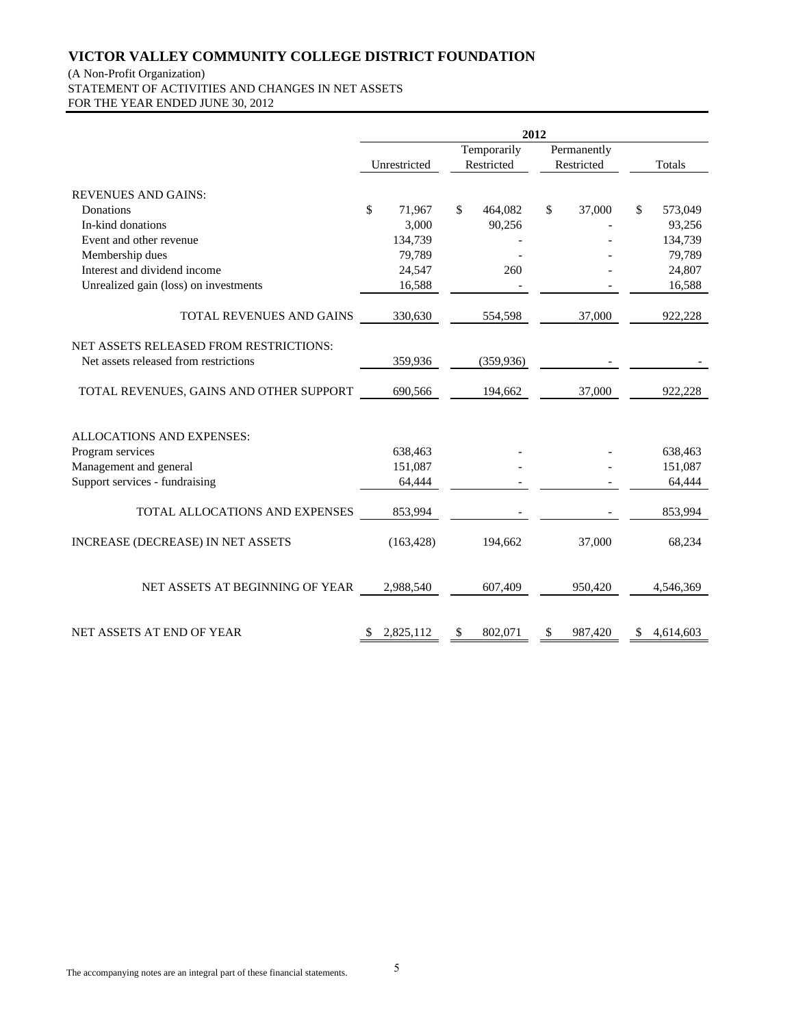# (A Non-Profit Organization)

STATEMENT OF ACTIVITIES AND CHANGES IN NET ASSETS FOR THE YEAR ENDED JUNE 30, 2012

|                                         | 2012        |              |    |             |    |            |    |           |
|-----------------------------------------|-------------|--------------|----|-------------|----|------------|----|-----------|
|                                         | Temporarily |              |    | Permanently |    |            |    |           |
|                                         |             | Unrestricted |    | Restricted  |    | Restricted |    | Totals    |
| <b>REVENUES AND GAINS:</b>              |             |              |    |             |    |            |    |           |
| Donations                               | \$          | 71,967       | \$ | 464,082     | \$ | 37,000     | \$ | 573,049   |
| In-kind donations                       |             | 3,000        |    | 90,256      |    |            |    | 93,256    |
| Event and other revenue                 |             | 134,739      |    |             |    |            |    | 134,739   |
| Membership dues                         |             | 79,789       |    |             |    |            |    | 79,789    |
| Interest and dividend income            |             | 24,547       |    | 260         |    |            |    | 24,807    |
| Unrealized gain (loss) on investments   |             | 16,588       |    |             |    |            |    | 16,588    |
| TOTAL REVENUES AND GAINS                |             | 330,630      |    | 554,598     |    | 37,000     |    | 922,228   |
| NET ASSETS RELEASED FROM RESTRICTIONS:  |             |              |    |             |    |            |    |           |
| Net assets released from restrictions   |             | 359,936      |    | (359, 936)  |    |            |    |           |
| TOTAL REVENUES, GAINS AND OTHER SUPPORT |             | 690,566      |    | 194,662     |    | 37,000     |    | 922,228   |
| <b>ALLOCATIONS AND EXPENSES:</b>        |             |              |    |             |    |            |    |           |
| Program services                        |             | 638,463      |    |             |    |            |    | 638,463   |
| Management and general                  |             | 151,087      |    |             |    |            |    | 151,087   |
| Support services - fundraising          |             | 64,444       |    |             |    |            |    | 64,444    |
| TOTAL ALLOCATIONS AND EXPENSES          |             | 853,994      |    |             |    |            |    | 853,994   |
| INCREASE (DECREASE) IN NET ASSETS       |             | (163, 428)   |    | 194,662     |    | 37,000     |    | 68,234    |
| NET ASSETS AT BEGINNING OF YEAR         |             | 2,988,540    |    | 607,409     |    | 950,420    |    | 4,546,369 |
| NET ASSETS AT END OF YEAR               | \$          | 2,825,112    | \$ | 802,071     | \$ | 987,420    | \$ | 4,614,603 |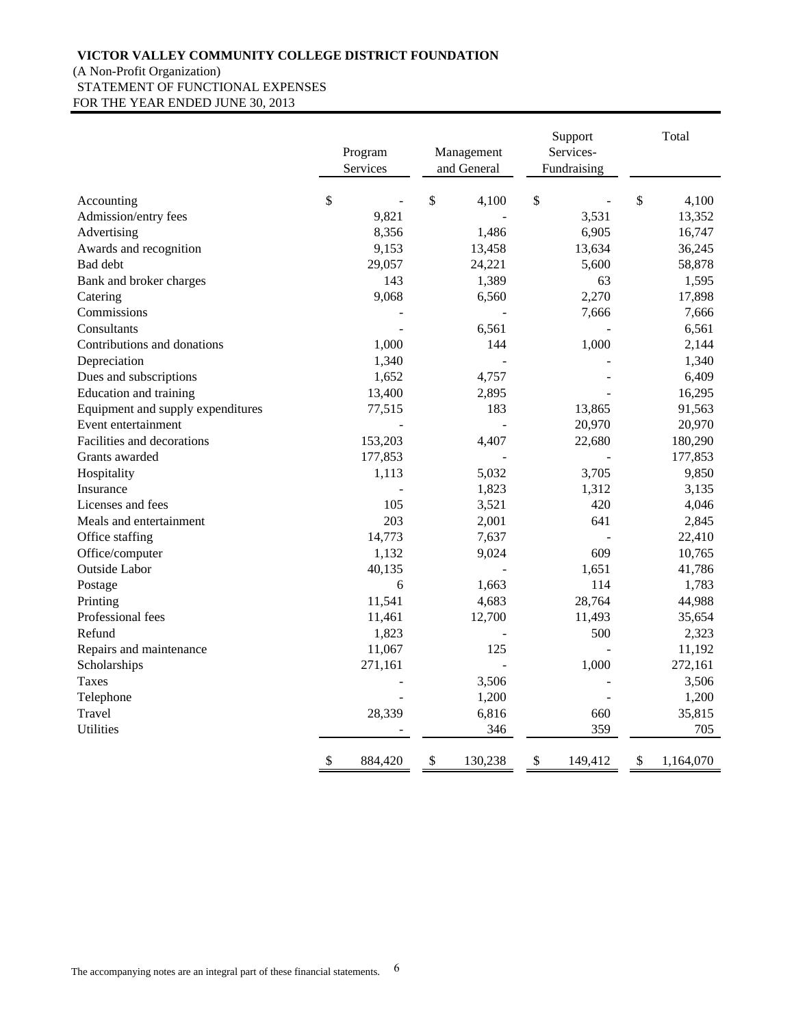# (A Non-Profit Organization) STATEMENT OF FUNCTIONAL EXPENSES FOR THE YEAR ENDED JUNE 30, 2013

|                                   | Program<br>Services | Management<br>and General | Support<br>Services-<br>Fundraising | Total           |
|-----------------------------------|---------------------|---------------------------|-------------------------------------|-----------------|
| Accounting                        | \$                  | \$<br>4,100               | \$                                  | \$<br>4,100     |
| Admission/entry fees              | 9,821               |                           | 3,531                               | 13,352          |
| Advertising                       | 8,356               | 1,486                     | 6,905                               | 16,747          |
| Awards and recognition            | 9,153               | 13,458                    | 13,634                              | 36,245          |
| Bad debt                          | 29,057              | 24,221                    | 5,600                               | 58,878          |
| Bank and broker charges           | 143                 | 1,389                     | 63                                  | 1,595           |
| Catering                          | 9,068               | 6,560                     | 2,270                               | 17,898          |
| Commissions                       |                     |                           | 7,666                               | 7,666           |
| Consultants                       |                     | 6,561                     |                                     | 6,561           |
| Contributions and donations       | 1,000               | 144                       | 1,000                               | 2,144           |
| Depreciation                      | 1,340               |                           |                                     | 1,340           |
| Dues and subscriptions            | 1,652               | 4,757                     |                                     | 6,409           |
| Education and training            | 13,400              | 2,895                     |                                     | 16,295          |
| Equipment and supply expenditures | 77,515              | 183                       | 13,865                              | 91,563          |
| Event entertainment               |                     |                           | 20,970                              | 20,970          |
| Facilities and decorations        | 153,203             | 4,407                     | 22,680                              | 180,290         |
| Grants awarded                    | 177,853             |                           |                                     | 177,853         |
| Hospitality                       | 1,113               | 5,032                     | 3,705                               | 9,850           |
| Insurance                         |                     | 1,823                     | 1,312                               | 3,135           |
| Licenses and fees                 | 105                 | 3,521                     | 420                                 | 4,046           |
| Meals and entertainment           | 203                 | 2,001                     | 641                                 | 2,845           |
| Office staffing                   | 14,773              | 7,637                     |                                     | 22,410          |
| Office/computer                   | 1,132               | 9,024                     | 609                                 | 10,765          |
| Outside Labor                     | 40,135              |                           | 1,651                               | 41,786          |
| Postage                           | 6                   | 1,663                     | 114                                 | 1,783           |
| Printing                          | 11,541              | 4,683                     | 28,764                              | 44,988          |
| Professional fees                 | 11,461              | 12,700                    | 11,493                              | 35,654          |
| Refund                            | 1,823               |                           | 500                                 | 2,323           |
| Repairs and maintenance           | 11,067              | 125                       |                                     | 11,192          |
| Scholarships                      | 271,161             |                           | 1,000                               | 272,161         |
| <b>Taxes</b>                      |                     | 3,506                     |                                     | 3,506           |
| Telephone                         |                     | 1,200                     |                                     | 1,200           |
| Travel                            | 28,339              | 6,816                     | 660                                 | 35,815          |
| <b>Utilities</b>                  |                     | 346                       | 359                                 | 705             |
|                                   | \$<br>884,420       | \$<br>130,238             | \$<br>149,412                       | \$<br>1,164,070 |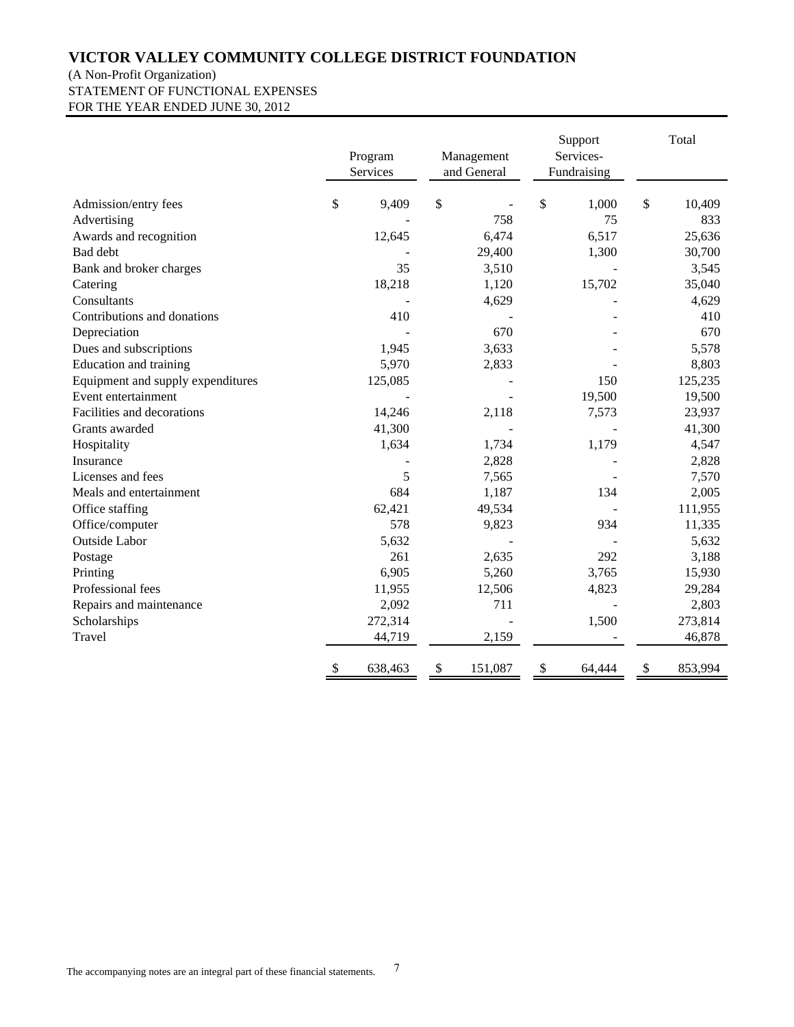# (A Non-Profit Organization) STATEMENT OF FUNCTIONAL EXPENSES

FOR THE YEAR ENDED JUNE 30, 2012

|                                   |                           | Program<br>Services | Management<br>and General | Support<br>Services-<br>Fundraising | Total         |
|-----------------------------------|---------------------------|---------------------|---------------------------|-------------------------------------|---------------|
| Admission/entry fees              | \$                        | 9,409               | \$                        | \$<br>1,000                         | \$<br>10,409  |
| Advertising                       |                           |                     | 758                       | 75                                  | 833           |
| Awards and recognition            |                           | 12,645              | 6,474                     | 6,517                               | 25,636        |
| Bad debt                          |                           |                     | 29,400                    | 1,300                               | 30,700        |
| Bank and broker charges           |                           | 35                  | 3,510                     |                                     | 3,545         |
| Catering                          |                           | 18,218              | 1,120                     | 15,702                              | 35,040        |
| Consultants                       |                           |                     | 4,629                     |                                     | 4,629         |
| Contributions and donations       |                           | 410                 |                           |                                     | 410           |
| Depreciation                      |                           |                     | 670                       |                                     | 670           |
| Dues and subscriptions            |                           | 1,945               | 3,633                     |                                     | 5,578         |
| Education and training            |                           | 5,970               | 2,833                     |                                     | 8,803         |
| Equipment and supply expenditures |                           | 125,085             |                           | 150                                 | 125,235       |
| Event entertainment               |                           |                     |                           | 19,500                              | 19,500        |
| Facilities and decorations        |                           | 14,246              | 2,118                     | 7,573                               | 23,937        |
| Grants awarded                    |                           | 41,300              |                           |                                     | 41,300        |
| Hospitality                       |                           | 1,634               | 1,734                     | 1,179                               | 4,547         |
| Insurance                         |                           |                     | 2,828                     |                                     | 2,828         |
| Licenses and fees                 |                           | 5                   | 7,565                     |                                     | 7,570         |
| Meals and entertainment           |                           | 684                 | 1,187                     | 134                                 | 2,005         |
| Office staffing                   |                           | 62,421              | 49,534                    |                                     | 111,955       |
| Office/computer                   |                           | 578                 | 9,823                     | 934                                 | 11,335        |
| <b>Outside Labor</b>              |                           | 5,632               |                           |                                     | 5,632         |
| Postage                           |                           | 261                 | 2,635                     | 292                                 | 3,188         |
| Printing                          |                           | 6,905               | 5,260                     | 3,765                               | 15,930        |
| Professional fees                 |                           | 11,955              | 12,506                    | 4,823                               | 29,284        |
| Repairs and maintenance           |                           | 2,092               | 711                       |                                     | 2,803         |
| Scholarships                      |                           | 272,314             |                           | 1,500                               | 273,814       |
| Travel                            |                           | 44,719              | 2,159                     |                                     | 46,878        |
|                                   | $\boldsymbol{\mathsf{S}}$ | 638,463             | \$<br>151,087             | \$<br>64,444                        | \$<br>853,994 |

7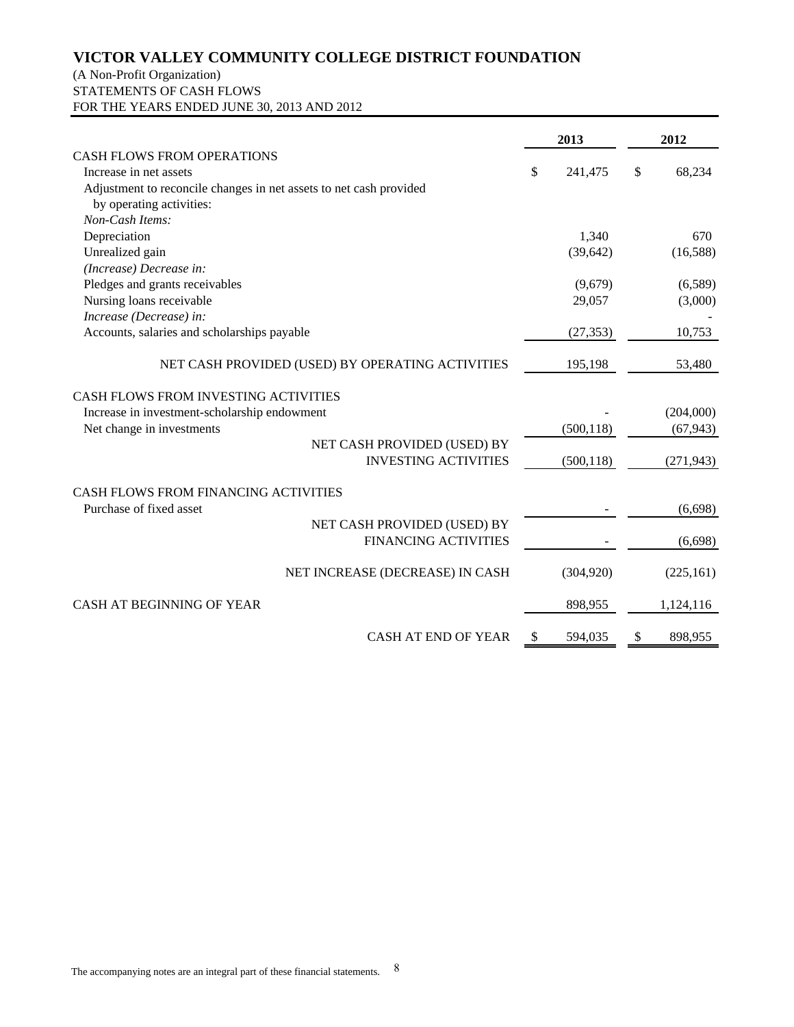# (A Non-Profit Organization) STATEMENTS OF CASH FLOWS FOR THE YEARS ENDED JUNE 30, 2013 AND 2012

|                                                                    | 2013          | 2012          |
|--------------------------------------------------------------------|---------------|---------------|
| <b>CASH FLOWS FROM OPERATIONS</b>                                  |               |               |
| Increase in net assets                                             | \$<br>241,475 | \$<br>68,234  |
| Adjustment to reconcile changes in net assets to net cash provided |               |               |
| by operating activities:                                           |               |               |
| Non-Cash Items:                                                    |               |               |
| Depreciation                                                       | 1,340         | 670           |
| Unrealized gain                                                    | (39, 642)     | (16,588)      |
| (Increase) Decrease in:                                            |               |               |
| Pledges and grants receivables                                     | (9,679)       | (6,589)       |
| Nursing loans receivable                                           | 29,057        | (3,000)       |
| Increase (Decrease) in:                                            |               |               |
| Accounts, salaries and scholarships payable                        | (27, 353)     | 10,753        |
| NET CASH PROVIDED (USED) BY OPERATING ACTIVITIES                   | 195,198       | 53,480        |
| CASH FLOWS FROM INVESTING ACTIVITIES                               |               |               |
| Increase in investment-scholarship endowment                       |               | (204,000)     |
| Net change in investments                                          | (500, 118)    | (67, 943)     |
| NET CASH PROVIDED (USED) BY                                        |               |               |
| <b>INVESTING ACTIVITIES</b>                                        | (500, 118)    | (271, 943)    |
| CASH FLOWS FROM FINANCING ACTIVITIES                               |               |               |
| Purchase of fixed asset                                            |               | (6,698)       |
| NET CASH PROVIDED (USED) BY                                        |               |               |
| <b>FINANCING ACTIVITIES</b>                                        |               | (6,698)       |
|                                                                    |               |               |
| NET INCREASE (DECREASE) IN CASH                                    | (304, 920)    | (225, 161)    |
| <b>CASH AT BEGINNING OF YEAR</b>                                   | 898,955       | 1,124,116     |
| <b>CASH AT END OF YEAR</b>                                         | \$<br>594,035 | \$<br>898,955 |
|                                                                    |               |               |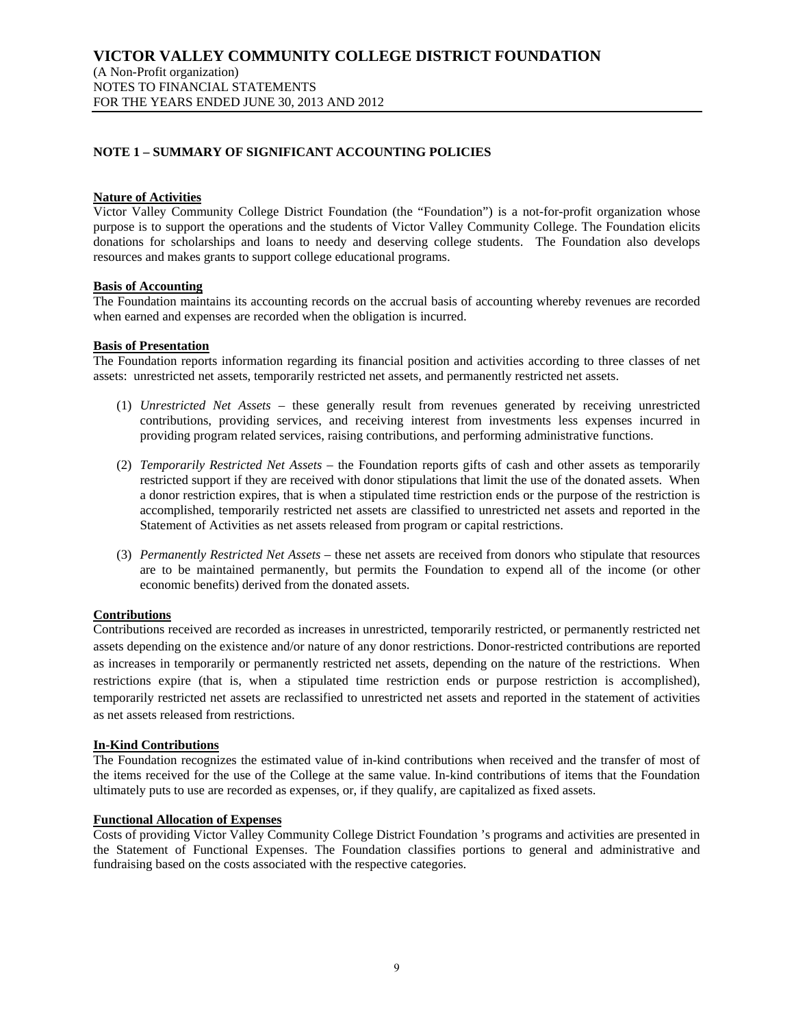(A Non-Profit organization) NOTES TO FINANCIAL STATEMENTS FOR THE YEARS ENDED JUNE 30, 2013 AND 2012

# **NOTE 1 – SUMMARY OF SIGNIFICANT ACCOUNTING POLICIES**

### **Nature of Activities**

Victor Valley Community College District Foundation (the "Foundation") is a not-for-profit organization whose purpose is to support the operations and the students of Victor Valley Community College. The Foundation elicits donations for scholarships and loans to needy and deserving college students. The Foundation also develops resources and makes grants to support college educational programs.

### **Basis of Accounting**

The Foundation maintains its accounting records on the accrual basis of accounting whereby revenues are recorded when earned and expenses are recorded when the obligation is incurred.

### **Basis of Presentation**

The Foundation reports information regarding its financial position and activities according to three classes of net assets: unrestricted net assets, temporarily restricted net assets, and permanently restricted net assets.

- (1) *Unrestricted Net Assets* these generally result from revenues generated by receiving unrestricted contributions, providing services, and receiving interest from investments less expenses incurred in providing program related services, raising contributions, and performing administrative functions.
- (2) *Temporarily Restricted Net Assets* the Foundation reports gifts of cash and other assets as temporarily restricted support if they are received with donor stipulations that limit the use of the donated assets. When a donor restriction expires, that is when a stipulated time restriction ends or the purpose of the restriction is accomplished, temporarily restricted net assets are classified to unrestricted net assets and reported in the Statement of Activities as net assets released from program or capital restrictions.
- (3) *Permanently Restricted Net Assets* these net assets are received from donors who stipulate that resources are to be maintained permanently, but permits the Foundation to expend all of the income (or other economic benefits) derived from the donated assets.

# **Contributions**

Contributions received are recorded as increases in unrestricted, temporarily restricted, or permanently restricted net assets depending on the existence and/or nature of any donor restrictions. Donor-restricted contributions are reported as increases in temporarily or permanently restricted net assets, depending on the nature of the restrictions. When restrictions expire (that is, when a stipulated time restriction ends or purpose restriction is accomplished), temporarily restricted net assets are reclassified to unrestricted net assets and reported in the statement of activities as net assets released from restrictions.

# **In-Kind Contributions**

The Foundation recognizes the estimated value of in-kind contributions when received and the transfer of most of the items received for the use of the College at the same value. In-kind contributions of items that the Foundation ultimately puts to use are recorded as expenses, or, if they qualify, are capitalized as fixed assets.

#### **Functional Allocation of Expenses**

Costs of providing Victor Valley Community College District Foundation 's programs and activities are presented in the Statement of Functional Expenses. The Foundation classifies portions to general and administrative and fundraising based on the costs associated with the respective categories.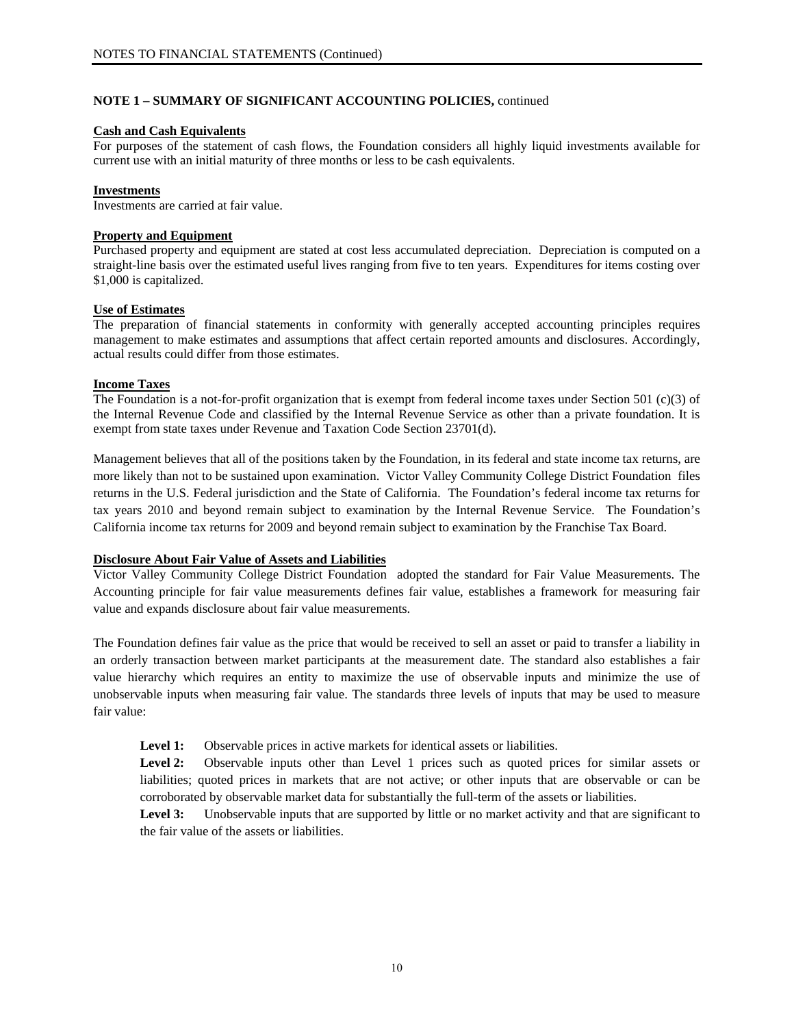# **NOTE 1 – SUMMARY OF SIGNIFICANT ACCOUNTING POLICIES,** continued

## **Cash and Cash Equivalents**

For purposes of the statement of cash flows, the Foundation considers all highly liquid investments available for current use with an initial maturity of three months or less to be cash equivalents.

## **Investments**

Investments are carried at fair value.

## **Property and Equipment**

Purchased property and equipment are stated at cost less accumulated depreciation. Depreciation is computed on a straight-line basis over the estimated useful lives ranging from five to ten years. Expenditures for items costing over \$1,000 is capitalized.

### **Use of Estimates**

The preparation of financial statements in conformity with generally accepted accounting principles requires management to make estimates and assumptions that affect certain reported amounts and disclosures. Accordingly, actual results could differ from those estimates.

### **Income Taxes**

The Foundation is a not-for-profit organization that is exempt from federal income taxes under Section 501 (c)(3) of the Internal Revenue Code and classified by the Internal Revenue Service as other than a private foundation. It is exempt from state taxes under Revenue and Taxation Code Section 23701(d).

Management believes that all of the positions taken by the Foundation, in its federal and state income tax returns, are more likely than not to be sustained upon examination. Victor Valley Community College District Foundation files returns in the U.S. Federal jurisdiction and the State of California. The Foundation's federal income tax returns for tax years 2010 and beyond remain subject to examination by the Internal Revenue Service. The Foundation's California income tax returns for 2009 and beyond remain subject to examination by the Franchise Tax Board.

# **Disclosure About Fair Value of Assets and Liabilities**

Victor Valley Community College District Foundation adopted the standard for Fair Value Measurements. The Accounting principle for fair value measurements defines fair value, establishes a framework for measuring fair value and expands disclosure about fair value measurements.

The Foundation defines fair value as the price that would be received to sell an asset or paid to transfer a liability in an orderly transaction between market participants at the measurement date. The standard also establishes a fair value hierarchy which requires an entity to maximize the use of observable inputs and minimize the use of unobservable inputs when measuring fair value. The standards three levels of inputs that may be used to measure fair value:

**Level 1:** Observable prices in active markets for identical assets or liabilities.

Level 2: Observable inputs other than Level 1 prices such as quoted prices for similar assets or liabilities; quoted prices in markets that are not active; or other inputs that are observable or can be corroborated by observable market data for substantially the full-term of the assets or liabilities.

Level 3: Unobservable inputs that are supported by little or no market activity and that are significant to the fair value of the assets or liabilities.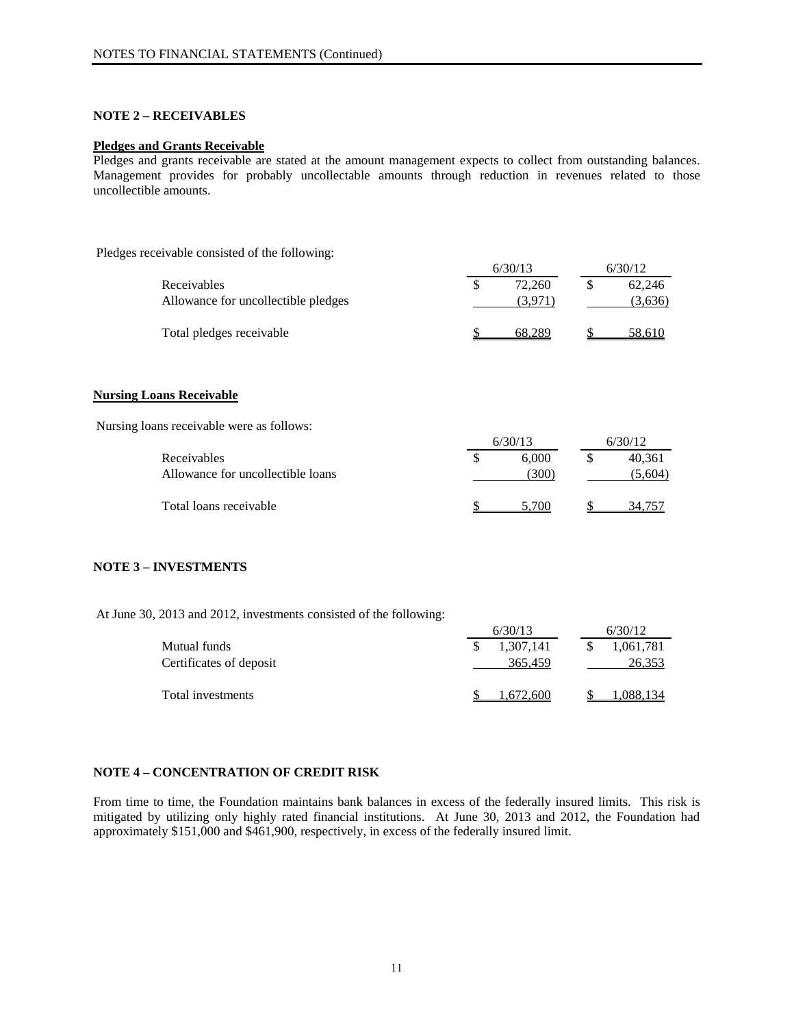# **NOTE 2 – RECEIVABLES**

### **Pledges and Grants Receivable**

Pledges and grants receivable are stated at the amount management expects to collect from outstanding balances. Management provides for probably uncollectable amounts through reduction in revenues related to those uncollectible amounts.

Pledges receivable consisted of the following:

|                                     | 6/30/13 | 6/30/12 |  |         |
|-------------------------------------|---------|---------|--|---------|
| Receivables                         |         | 72.260  |  | 62.246  |
| Allowance for uncollectible pledges |         |         |  | (3,636) |
| Total pledges receivable            |         |         |  | 58.610  |

#### **Nursing Loans Receivable**

Nursing loans receivable were as follows:

|                                                  | 6/30/13 |              |  | 6/30/12           |  |  |
|--------------------------------------------------|---------|--------------|--|-------------------|--|--|
| Receivables<br>Allowance for uncollectible loans |         | 6.000<br>300 |  | 40.361<br>(5,604) |  |  |
|                                                  |         |              |  |                   |  |  |
| Total loans receivable                           |         |              |  |                   |  |  |

#### **NOTE 3 – INVESTMENTS**

At June 30, 2013 and 2012, investments consisted of the following:

|                         |  | 6/30/13   |  | 6/30/12   |  |
|-------------------------|--|-----------|--|-----------|--|
| Mutual funds            |  | 1,307,141 |  | 1,061,781 |  |
| Certificates of deposit |  | 365,459   |  | 26,353    |  |
| Total investments       |  | .672.600  |  |           |  |

# **NOTE 4 – CONCENTRATION OF CREDIT RISK**

From time to time, the Foundation maintains bank balances in excess of the federally insured limits. This risk is mitigated by utilizing only highly rated financial institutions. At June 30, 2013 and 2012, the Foundation had approximately \$151,000 and \$461,900, respectively, in excess of the federally insured limit.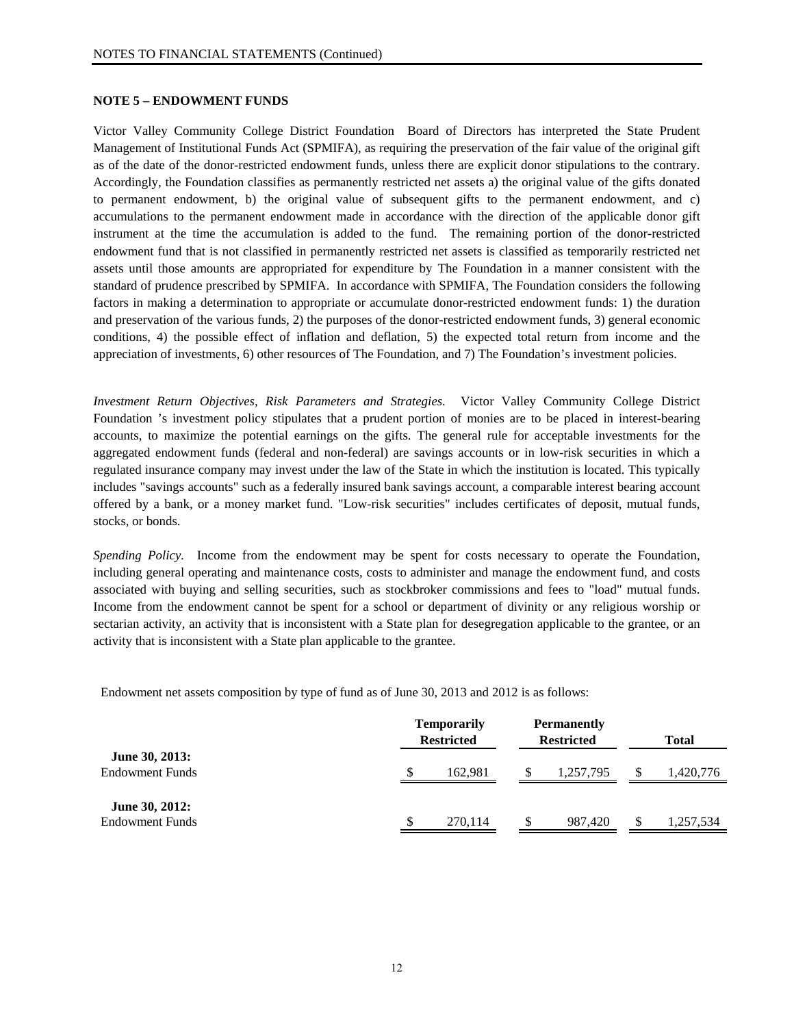#### **NOTE 5 – ENDOWMENT FUNDS**

Victor Valley Community College District Foundation Board of Directors has interpreted the State Prudent Management of Institutional Funds Act (SPMIFA), as requiring the preservation of the fair value of the original gift as of the date of the donor-restricted endowment funds, unless there are explicit donor stipulations to the contrary. Accordingly, the Foundation classifies as permanently restricted net assets a) the original value of the gifts donated to permanent endowment, b) the original value of subsequent gifts to the permanent endowment, and c) accumulations to the permanent endowment made in accordance with the direction of the applicable donor gift instrument at the time the accumulation is added to the fund. The remaining portion of the donor-restricted endowment fund that is not classified in permanently restricted net assets is classified as temporarily restricted net assets until those amounts are appropriated for expenditure by The Foundation in a manner consistent with the standard of prudence prescribed by SPMIFA. In accordance with SPMIFA, The Foundation considers the following factors in making a determination to appropriate or accumulate donor-restricted endowment funds: 1) the duration and preservation of the various funds, 2) the purposes of the donor-restricted endowment funds, 3) general economic conditions, 4) the possible effect of inflation and deflation, 5) the expected total return from income and the appreciation of investments, 6) other resources of The Foundation, and 7) The Foundation's investment policies.

*Investment Return Objectives, Risk Parameters and Strategies.* Victor Valley Community College District Foundation 's investment policy stipulates that a prudent portion of monies are to be placed in interest-bearing accounts, to maximize the potential earnings on the gifts. The general rule for acceptable investments for the aggregated endowment funds (federal and non-federal) are savings accounts or in low-risk securities in which a regulated insurance company may invest under the law of the State in which the institution is located. This typically includes "savings accounts" such as a federally insured bank savings account, a comparable interest bearing account offered by a bank, or a money market fund. "Low-risk securities" includes certificates of deposit, mutual funds, stocks, or bonds.

*Spending Policy.* Income from the endowment may be spent for costs necessary to operate the Foundation, including general operating and maintenance costs, costs to administer and manage the endowment fund, and costs associated with buying and selling securities, such as stockbroker commissions and fees to "load" mutual funds. Income from the endowment cannot be spent for a school or department of divinity or any religious worship or sectarian activity, an activity that is inconsistent with a State plan for desegregation applicable to the grantee, or an activity that is inconsistent with a State plan applicable to the grantee.

Endowment net assets composition by type of fund as of June 30, 2013 and 2012 is as follows:

|                                          | <b>Temporarily</b><br><b>Restricted</b> | <b>Permanently</b><br><b>Restricted</b> | <b>Total</b> |  |  |
|------------------------------------------|-----------------------------------------|-----------------------------------------|--------------|--|--|
| June 30, 2013:<br><b>Endowment Funds</b> | 162.981                                 | 1,257,795                               | 1,420,776    |  |  |
| June 30, 2012:<br><b>Endowment Funds</b> | 270,114                                 | 987.420                                 | 1,257,534    |  |  |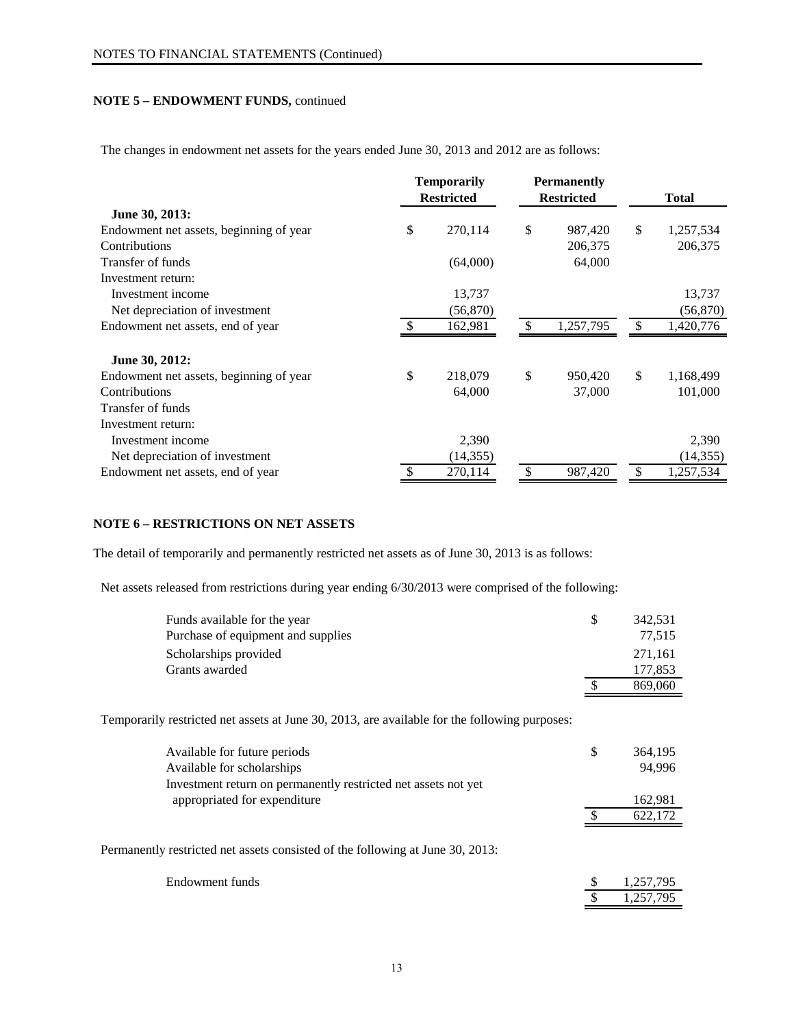# **NOTE 5 – ENDOWMENT FUNDS,** continued

The changes in endowment net assets for the years ended June 30, 2013 and 2012 are as follows:

|                                         | <b>Temporarily</b> |           |    | <b>Permanently</b> |                 |
|-----------------------------------------|--------------------|-----------|----|--------------------|-----------------|
|                                         | <b>Restricted</b>  |           |    | <b>Restricted</b>  | <b>Total</b>    |
| June 30, 2013:                          |                    |           |    |                    |                 |
| Endowment net assets, beginning of year | \$                 | 270,114   | \$ | 987,420            | \$<br>1,257,534 |
| Contributions                           |                    |           |    | 206,375            | 206,375         |
| Transfer of funds                       |                    | (64,000)  |    | 64,000             |                 |
| Investment return:                      |                    |           |    |                    |                 |
| Investment income                       |                    | 13,737    |    |                    | 13,737          |
| Net depreciation of investment          |                    | (56, 870) |    |                    | (56, 870)       |
| Endowment net assets, end of year       |                    | 162,981   |    | 1,257,795          | \$<br>1,420,776 |
| June 30, 2012:                          |                    |           |    |                    |                 |
| Endowment net assets, beginning of year | \$                 | 218,079   | \$ | 950,420            | \$<br>1,168,499 |
| Contributions                           |                    | 64,000    |    | 37,000             | 101,000         |
| Transfer of funds                       |                    |           |    |                    |                 |
| Investment return:                      |                    |           |    |                    |                 |
| Investment income                       |                    | 2,390     |    |                    | 2,390           |
| Net depreciation of investment          |                    | (14, 355) |    |                    | (14, 355)       |
| Endowment net assets, end of year       |                    | 270,114   |    | 987,420            | \$<br>1,257,534 |

# **NOTE 6 – RESTRICTIONS ON NET ASSETS**

The detail of temporarily and permanently restricted net assets as of June 30, 2013 is as follows:

Net assets released from restrictions during year ending 6/30/2013 were comprised of the following:

| Funds available for the year       | \$. | 342.531 |
|------------------------------------|-----|---------|
| Purchase of equipment and supplies |     | 77.515  |
| Scholarships provided              |     | 271.161 |
| Grants awarded                     |     | 177,853 |
|                                    |     | 869,060 |

Temporarily restricted net assets at June 30, 2013, are available for the following purposes:

| Available for future periods                                                   | S | 364,195 |
|--------------------------------------------------------------------------------|---|---------|
| Available for scholarships                                                     |   | 94.996  |
| Investment return on permanently restricted net assets not yet                 |   |         |
| appropriated for expenditure                                                   |   | 162,981 |
|                                                                                |   | 622,172 |
| Permanently restricted net assets consisted of the following at June 30, 2013: |   |         |

| Endowment funds | 1.257.795 |
|-----------------|-----------|
|                 | 1,257,795 |